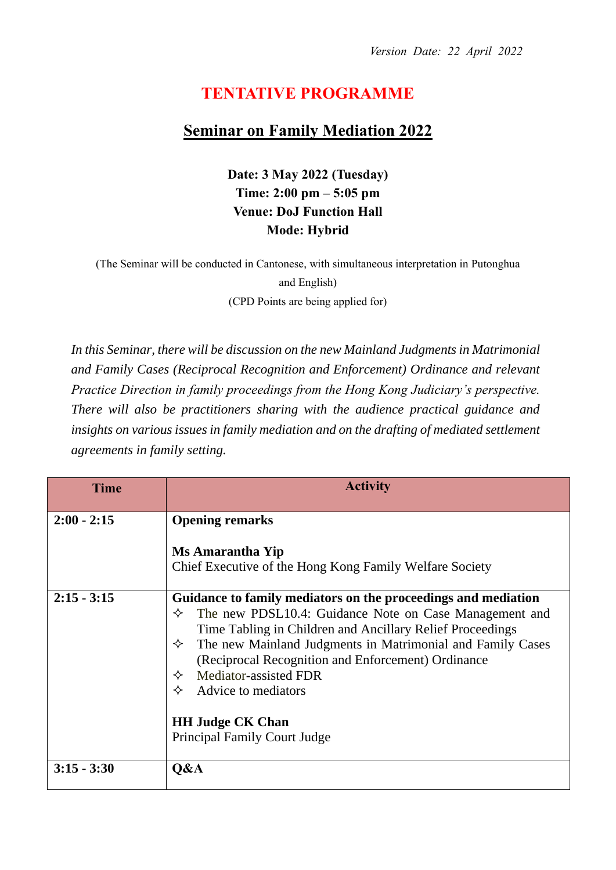## **TENTATIVE PROGRAMME**

## **Seminar on Family Mediation 2022**

**Date: 3 May 2022 (Tuesday) Time: 2:00 pm – 5:05 pm Venue: DoJ Function Hall Mode: Hybrid**

(The Seminar will be conducted in Cantonese, with simultaneous interpretation in Putonghua and English) (CPD Points are being applied for)

*In this Seminar, there will be discussion on the new Mainland Judgments in Matrimonial and Family Cases (Reciprocal Recognition and Enforcement) Ordinance and relevant Practice Direction in family proceedings from the Hong Kong Judiciary's perspective. There will also be practitioners sharing with the audience practical guidance and*  insights on various issues in family mediation and on the drafting of mediated settlement *agreements in family setting.* 

| Time          | <b>Activity</b>                                                                                                                                                                                                                                                                                                                                                                                                                                 |
|---------------|-------------------------------------------------------------------------------------------------------------------------------------------------------------------------------------------------------------------------------------------------------------------------------------------------------------------------------------------------------------------------------------------------------------------------------------------------|
| $2:00 - 2:15$ | <b>Opening remarks</b><br><b>Ms Amarantha Yip</b>                                                                                                                                                                                                                                                                                                                                                                                               |
|               | Chief Executive of the Hong Kong Family Welfare Society                                                                                                                                                                                                                                                                                                                                                                                         |
| $2:15 - 3:15$ | Guidance to family mediators on the proceedings and mediation<br>The new PDSL10.4: Guidance Note on Case Management and<br>✧<br>Time Tabling in Children and Ancillary Relief Proceedings<br>$\Diamond$ The new Mainland Judgments in Matrimonial and Family Cases<br>(Reciprocal Recognition and Enforcement) Ordinance<br>Mediator-assisted FDR<br>Advice to mediators<br>✧<br><b>HH Judge CK Chan</b><br><b>Principal Family Court Judge</b> |
| $3:15 - 3:30$ | Q&A                                                                                                                                                                                                                                                                                                                                                                                                                                             |